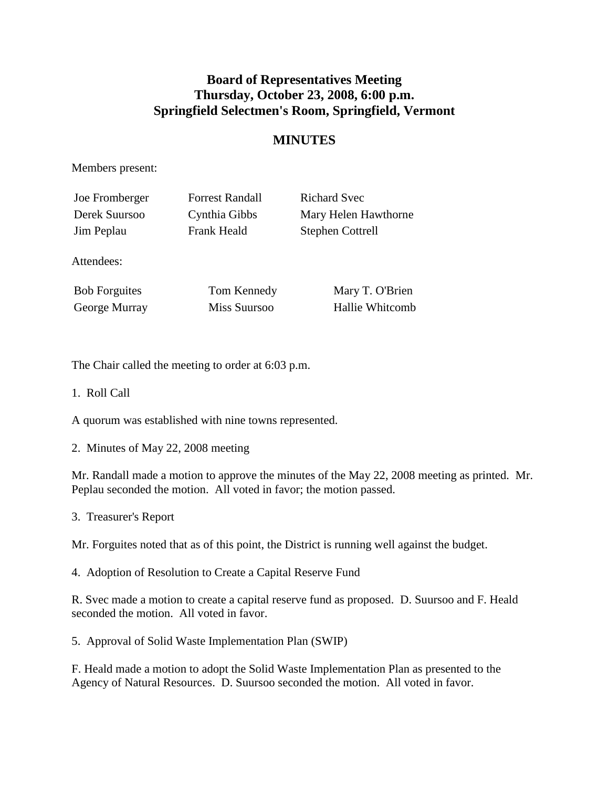## **Board of Representatives Meeting Thursday, October 23, 2008, 6:00 p.m. Springfield Selectmen's Room, Springfield, Vermont**

## **MINUTES**

Richard Svec

**Stephen Cottrell** 

Mary Helen Hawthorne

Members present:

| Joe Fromberger | <b>Forrest Randall</b> |
|----------------|------------------------|
| Derek Suursoo  | Cynthia Gibbs          |
| Jim Peplau     | Frank Heald            |

Attendees:

Bob Forguites Tom Kennedy Mary T. O'Brien

George Murray Miss Suursoo Hallie Whitcomb

The Chair called the meeting to order at 6:03 p.m.

1. Roll Call

A quorum was established with nine towns represented.

2. Minutes of May 22, 2008 meeting

Mr. Randall made a motion to approve the minutes of the May 22, 2008 meeting as printed. Mr. Peplau seconded the motion. All voted in favor; the motion passed.

3. Treasurer's Report

Mr. Forguites noted that as of this point, the District is running well against the budget.

4. Adoption of Resolution to Create a Capital Reserve Fund

R. Svec made a motion to create a capital reserve fund as proposed. D. Suursoo and F. Heald seconded the motion. All voted in favor.

5. Approval of Solid Waste Implementation Plan (SWIP)

F. Heald made a motion to adopt the Solid Waste Implementation Plan as presented to the Agency of Natural Resources. D. Suursoo seconded the motion. All voted in favor.